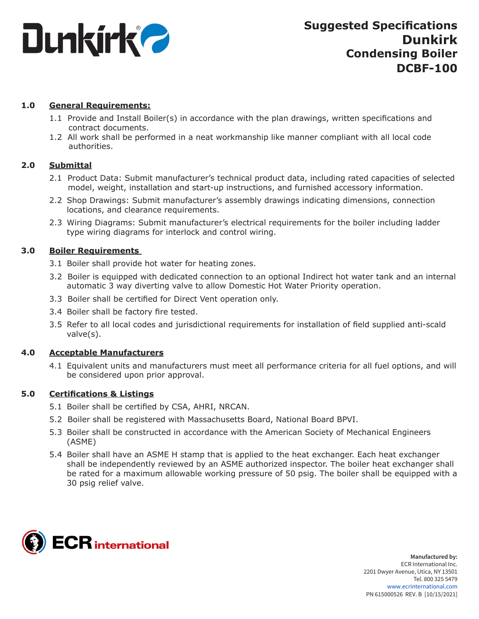

# **1.0 General Requirements:**

- 1.1 Provide and Install Boiler(s) in accordance with the plan drawings, written specifications and contract documents.
- 1.2 All work shall be performed in a neat workmanship like manner compliant with all local code authorities.

# **2.0 Submittal**

- 2.1 Product Data: Submit manufacturer's technical product data, including rated capacities of selected model, weight, installation and start-up instructions, and furnished accessory information.
- 2.2 Shop Drawings: Submit manufacturer's assembly drawings indicating dimensions, connection locations, and clearance requirements.
- 2.3 Wiring Diagrams: Submit manufacturer's electrical requirements for the boiler including ladder type wiring diagrams for interlock and control wiring.

## **3.0 Boiler Requirements**

- 3.1 Boiler shall provide hot water for heating zones.
- 3.2 Boiler is equipped with dedicated connection to an optional Indirect hot water tank and an internal automatic 3 way diverting valve to allow Domestic Hot Water Priority operation.
- 3.3 Boiler shall be certified for Direct Vent operation only.
- 3.4 Boiler shall be factory fire tested.
- 3.5 Refer to all local codes and jurisdictional requirements for installation of field supplied anti-scald valve(s).

## **4.0 Acceptable Manufacturers**

4.1 Equivalent units and manufacturers must meet all performance criteria for all fuel options, and will be considered upon prior approval.

## **5.0 Certifications & Listings**

- 5.1 Boiler shall be certified by CSA, AHRI, NRCAN.
- 5.2 Boiler shall be registered with Massachusetts Board, National Board BPVI.
- 5.3 Boiler shall be constructed in accordance with the American Society of Mechanical Engineers (ASME)
- 5.4 Boiler shall have an ASME H stamp that is applied to the heat exchanger. Each heat exchanger shall be independently reviewed by an ASME authorized inspector. The boiler heat exchanger shall be rated for a maximum allowable working pressure of 50 psig. The boiler shall be equipped with a 30 psig relief valve.

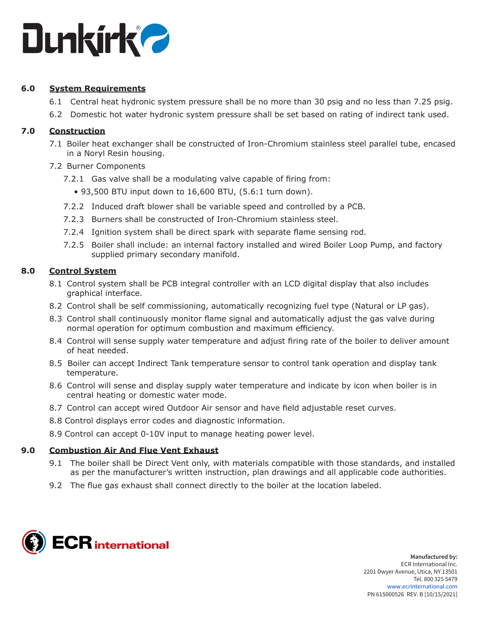

# **6.0 System Requirements**

- 6.1 Central heat hydronic system pressure shall be no more than 30 psig and no less than 7.25 psig.
- 6.2 Domestic hot water hydronic system pressure shall be set based on rating of indirect tank used.

## **7.0 Construction**

- 7.1 Boiler heat exchanger shall be constructed of Iron-Chromium stainless steel parallel tube, encased in a Noryl Resin housing.
- 7.2 Burner Components
	- 7.2.1 Gas valve shall be a modulating valve capable of firing from:
		- 93,500 BTU input down to 16,600 BTU, (5.6:1 turn down).
	- 7.2.2 Induced draft blower shall be variable speed and controlled by a PCB.
	- 7.2.3 Burners shall be constructed of Iron-Chromium stainless steel.
	- 7.2.4 Ignition system shall be direct spark with separate flame sensing rod.
	- 7.2.5 Boiler shall include: an internal factory installed and wired Boiler Loop Pump, and factory supplied primary secondary manifold.

## **8.0 Control System**

- 8.1 Control system shall be PCB integral controller with an LCD digital display that also includes graphical interface.
- 8.2 Control shall be self commissioning, automatically recognizing fuel type (Natural or LP gas).
- 8.3 Control shall continuously monitor flame signal and automatically adjust the gas valve during normal operation for optimum combustion and maximum efficiency.
- 8.4 Control will sense supply water temperature and adjust firing rate of the boiler to deliver amount of heat needed.
- 8.5 Boiler can accept Indirect Tank temperature sensor to control tank operation and display tank temperature.
- 8.6 Control will sense and display supply water temperature and indicate by icon when boiler is in central heating or domestic water mode.
- 8.7 Control can accept wired Outdoor Air sensor and have field adjustable reset curves.
- 8.8 Control displays error codes and diagnostic information.
- 8.9 Control can accept 0-10V input to manage heating power level.

## **9.0 Combustion Air And Flue Vent Exhaust**

- 9.1 The boiler shall be Direct Vent only, with materials compatible with those standards, and installed as per the manufacturer's written instruction, plan drawings and all applicable code authorities.
- 9.2 The flue gas exhaust shall connect directly to the boiler at the location labeled.